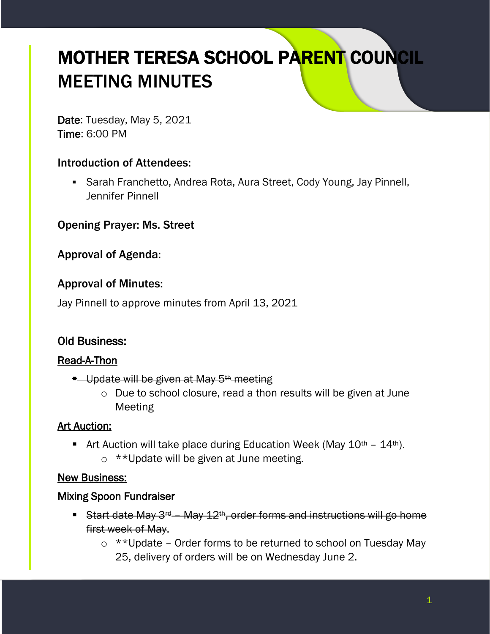# MOTHER TERESA SCHOOL PARENT COUNCIL MEETING MINUTES

Date: Tuesday, May 5, 2021 Time: 6:00 PM

### Introduction of Attendees:

■ Sarah Franchetto, Andrea Rota, Aura Street, Cody Young, Jay Pinnell, Jennifer Pinnell

Opening Prayer: Ms. Street

Approval of Agenda:

#### Approval of Minutes:

Jay Pinnell to approve minutes from April 13, 2021

# Old Business:

#### Read-A-Thon

- **E** Update will be given at May 5<sup>th</sup> meeting
	- o Due to school closure, read a thon results will be given at June Meeting

#### Art Auction:

**E** Art Auction will take place during Education Week (May  $10^{th}$  –  $14^{th}$ ).  $\circ$  \*\*Update will be given at June meeting.

#### New Business:

#### Mixing Spoon Fundraiser

- **EXALLE 12th Start date May 3<sup>rd</sup>** May 12<sup>th</sup>, order forms and instructions will go home first week of May.
	- o \*\*Update Order forms to be returned to school on Tuesday May 25, delivery of orders will be on Wednesday June 2.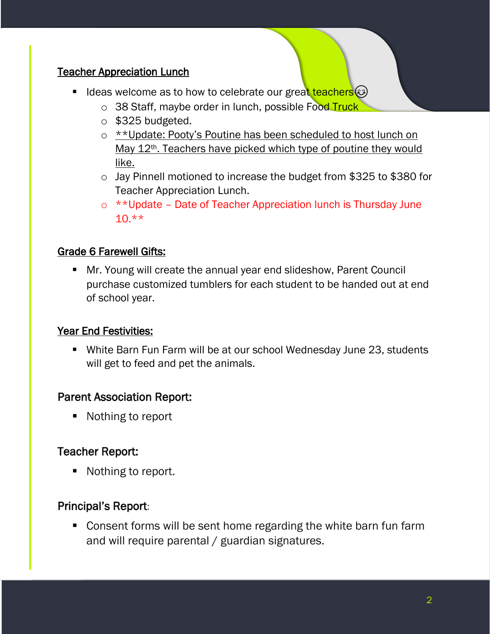#### Teacher Appreciation Lunch

- Ideas welcome as to how to celebrate our great teachers( $\odot$ )
	- o 38 Staff, maybe order in lunch, possible Food Truck
	- $\circ$  \$325 budgeted.
	- o \*\*Update: Pooty's Poutine has been scheduled to host lunch on May 12<sup>th</sup>. Teachers have picked which type of poutine they would like.
	- o Jay Pinnell motioned to increase the budget from \$325 to \$380 for Teacher Appreciation Lunch.
	- o \*\*Update Date of Teacher Appreciation lunch is Thursday June 10.\*\*

### Grade 6 Farewell Gifts:

■ Mr. Young will create the annual year end slideshow, Parent Council purchase customized tumblers for each student to be handed out at end of school year.

#### Year End Festivities:

■ White Barn Fun Farm will be at our school Wednesday June 23, students will get to feed and pet the animals.

# Parent Association Report:

■ Nothing to report

# Teacher Report:

■ Nothing to report.

#### Principal's Report:

■ Consent forms will be sent home regarding the white barn fun farm and will require parental / guardian signatures.